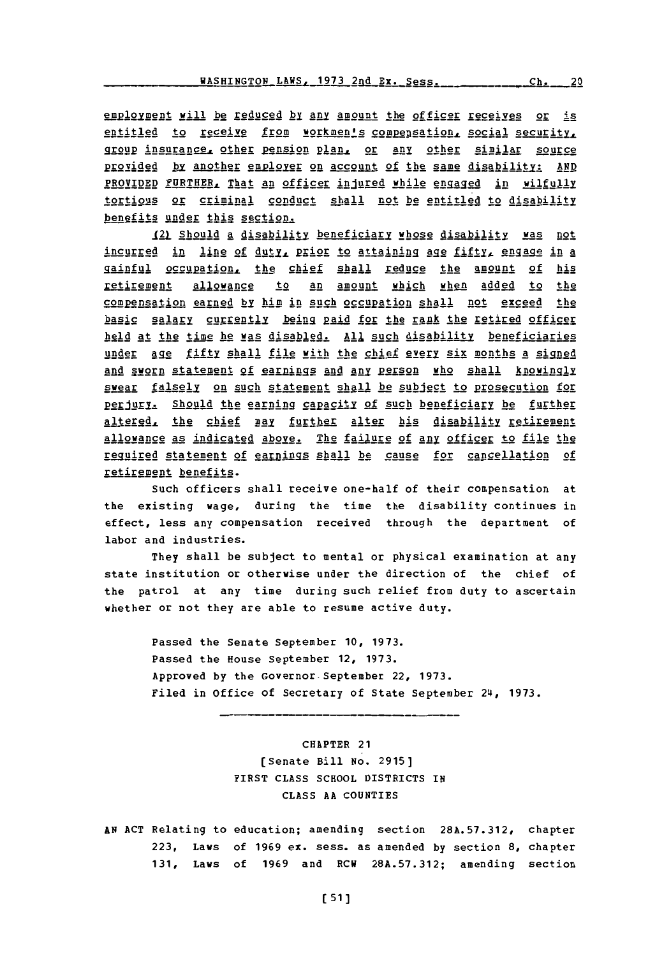employment will be reduced by any amount the officer receives or is entitled to receive from workmen's compensation, social security, group insurance, other pension plan, or any other similar source provided by another employer on account of the same disability: AND PROVIDED FURTHER, That an officer injured while engaged in wilfully tortious or criminal conduct shall not be entitled to disability benefits under this section.

121. Should **a** di sability beneficiary whose disability was not incurred in line of duty, prior to attaining age fifty, engage in a gainful occupation, the chief shall reduce the amount of his retirement allowance to an amount which when added to the compensation earned **by** himp in such occupation shall not exceed the basic salary currently being paid for the rank the retired officer held at the time he was disabled. All such disability beneficiaries under age fifty shall file with the chief every six months a signed and sworn statement of earnings and any person who shall knowingly swear falsely on such statement shall be subject to prosecution for perjury. Should the earning capacity of such beneficiary be further altered, the chief may further alter his disability retirement allowance as indicated above. The failure of any officer to file the required statement of earnings shall be cause for cancellation of retirement benefits.

Such officers shall receive one-half of their compensation at the existing wage, during the time the disability continues in effect, less any compensation received through the department of labor and industries.

They shall be subject to mental or physical examination at any state institution or otherwise under the direction of the chief of the patrol at any time during such relief from duty to ascertain whether or not they are able to resume active duty.

Passed the Senate September **10, 1973.** Passed the House September 12, **1973.** Approved **by** the Governor.September 22, **1973.** Filed in Office of Secretary of State September 24, **1973.**

> CHAPTER 21 [Senate Bill No. **2915]** FIRST **CLASS SCHOOL** DISTRICTS IN **CLASS AA COUNTIES**

**AN ACT** Relating to education; amending section **28A.57.312,** chapter **223,** Laws of **1969** ex. sess. as amended **by** section **8,** chapter **131,** Laws of **1969** and ECH **28A.57.312;** amending section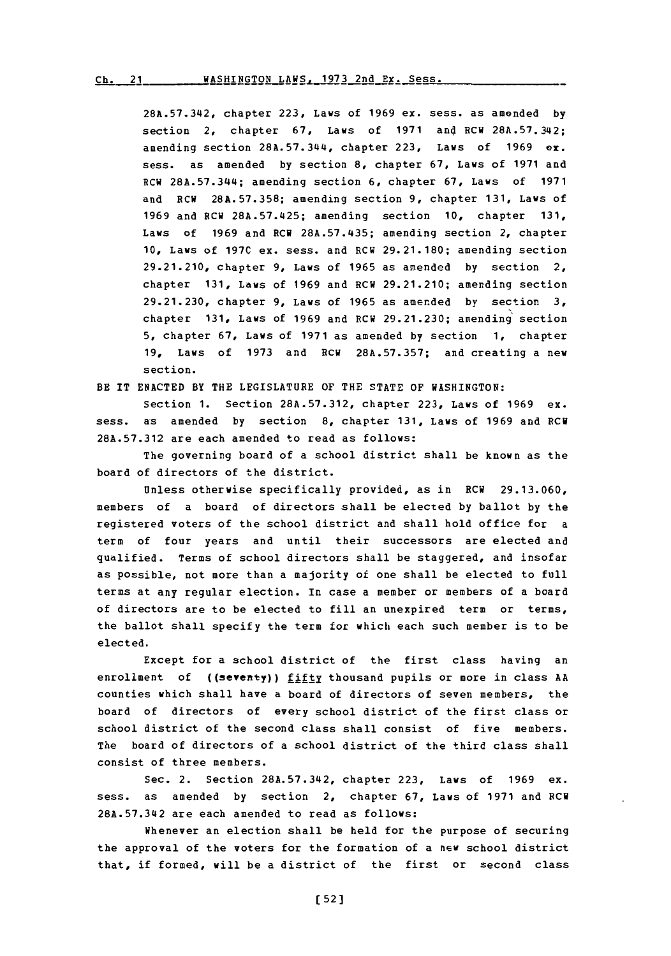# Ch. 21 WASHINGTON LAWS, 1973 2nd Ex. Sess.

**28A.57.342,** chapter **223,** Laws of **1969** ex. sess. as amended **by** section 2, chapter **67,** Laws of **1971** and RCW **28A.57.34i2;** amending section **28A.57.344,** chapter **223,** Laws of **1969** ex. sess. as amended **by** section **8,** chapter **67,** Laws of **1971** and RCW 28A.57.344; amending section **6,** chapter **67,** Laws of **1971** and RCW **28A.57.358;** amending section **9,** chapter **131,** Laws of **1969** and RCW **28A.57.425;** amending section **10,** chapter **131,** Laws of **1969 and RCW 28A.57.435; amending section 2, chapter 10,** Laws of **197C** ex. sess. and RCW **29.21.180;** amending section **29.21.210,** chapter **9,** Laws of **1965** as amended **by** section 2, chapter **131,** Laws of **1969** and RCW **29.21.210;** amending section **29.21.230,** chapter **9,** Laws of **1965** as amended **by** section **3,** chapter **131,** Laws of **1969** and PCW **29.21.230;** amending section **5,** chapter **67,** Laws of **1971** as amended **by** section **1,** chapter **19,** Laws of **1973** and RCW **28A.57.357;** and creating a new section.

BE IT **ENACTED** BY THE LEGISLATURE OF THE **STATE** OF WASHINGTON:

Section **1.** Section **28A.57.312,** chapter **223,** Laws of **1969** ex. sess. as amended **by** section **8,** chapter **131,** Laws of **1969** and **RCM 28A.57.312** are each amended to read as follows:

The governing board of a school district shall be known as the board of directors of the district.

Unless otherwise specifically provided, as in RCW **29.13.060,** members of a board of directors shall be elected **by** ballot **by** the registered voters of the school district and shall hold office for a term of four years and until their successors are elected and qualified. Terms of school directors shall be staggered, and insofar as possible, not more than a majority of one shall be elected to full terms at any regular election. In case a member or members of a board of directors are to be elected to fill an unexpired term or terms, the ballot shall specify the term for which each such member is to be elected.

Except for a school district of the first class having an enrollment of **((seventy))** fifty thousand pupils or more in class **AA** counties which shall have a board of directors of seven members, the board of directors of every school district of the first class or school district of the second class shall consist of five members. The board of directors of a school district of the third class shall consist of three members.

Sec. 2. Section **28A.57.342,** chapter **223,** Laws of **1969** ex. mess. as amended **by** section 2, chapter **67,** Laws of **1971** and RCW **28A.57.342** are each amended to read as follows:

Whenever an election shall be held for the purpose of securing the approval of the voters for the formation of a new school district that, if formed, will be a district of the first or second class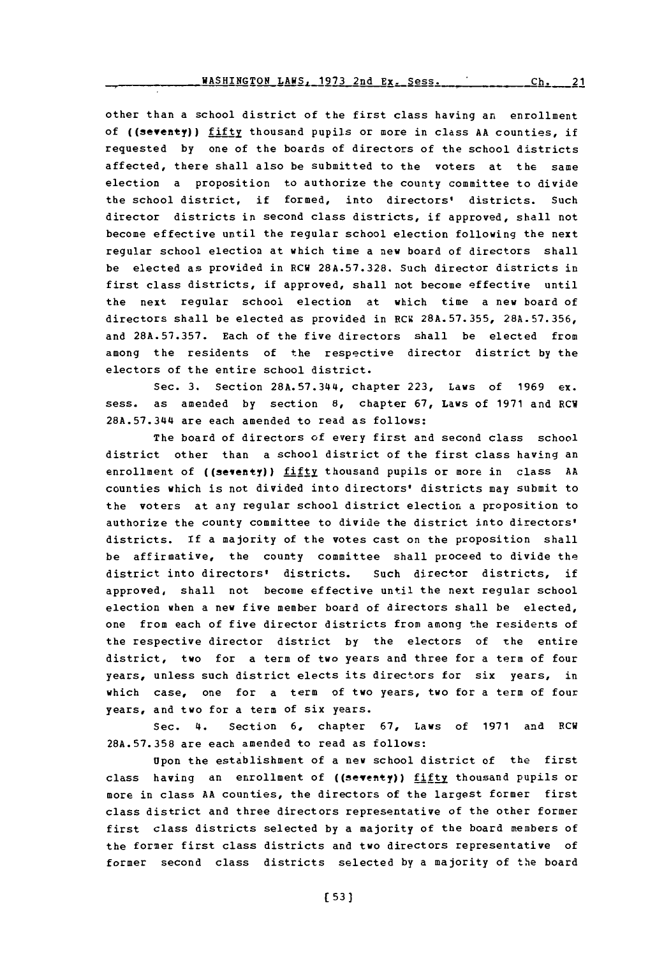other than a school district of the first class having an enrollment of ((seventy)) fifty thousand pupils or more in class **AA** counties, if requested **by** one of the boards of directors of the school districts affected, there shall also be submitted to the voters at the same election a proposition to authorize the county committee to divide the school district, if formed, into directors' districts. Such director districts in second class districts, if approved, shall not become effective until the regular school election following the next regular school election at which time a new board of directors shall be elected as provided in RCW **28A.57.328.** Such director districts in first class districts, if approved, shall not become effective until the next regular school election at which time a new board of directors shall be elected as provided in RCW **28A.57.355, 28A.57.356,** and **28A.57.357.** Each of the five directors shall be elected from among the residents of the respective director district **by** the electors of the entire school district.

Sec. **3.** Section **28A.57.344,** chapter **223,** Laws of **1969** ex. sess. as amended **by** section **8,** chapter **67,** Laws of **1971** and RCW **28A.57.344** are each amended to read as follows:

The board of directors of every first and second class school district other than a school district of the first class having an enrollment of ((seventy)) fifty thousand pupils or more in class AA counties which is not divided into directors' districts may submit to the voters at any regular school district election a proposition to authorize the county committee to divide the district into directors' districts. If a majority of the votes cast on the proposition shall be affirmative, the county committee shall proceed to divide the district into directors' districts. Such director districts, if approved, shall not become effective until the next regular school election when a new five member board of directors shall be elected, one from each of five director districts from among the residents of the respective director district **by** the electors of the entire district, two for a term **of** two years and three for a term of four years, unless such district elects its directors for six years, in which case, one for a term of two years, two for a term of four years, and two for a term of six years.

Sec. 4. Section **6,** chapter **67,** Laws of **1971** and RCW **28A.57.358** are each amended to read as follows:

Upon the establishment of a new school district of the first class having an enrollment of ((seventy)) fifty thousand pupils or more in class **AA** counties, the directors of the largest former first class district and three directors representative of the other former first class districts selected **by** a majority of the board members of the former first class districts and two directors representative of former second class districts selected **by** a majority of the board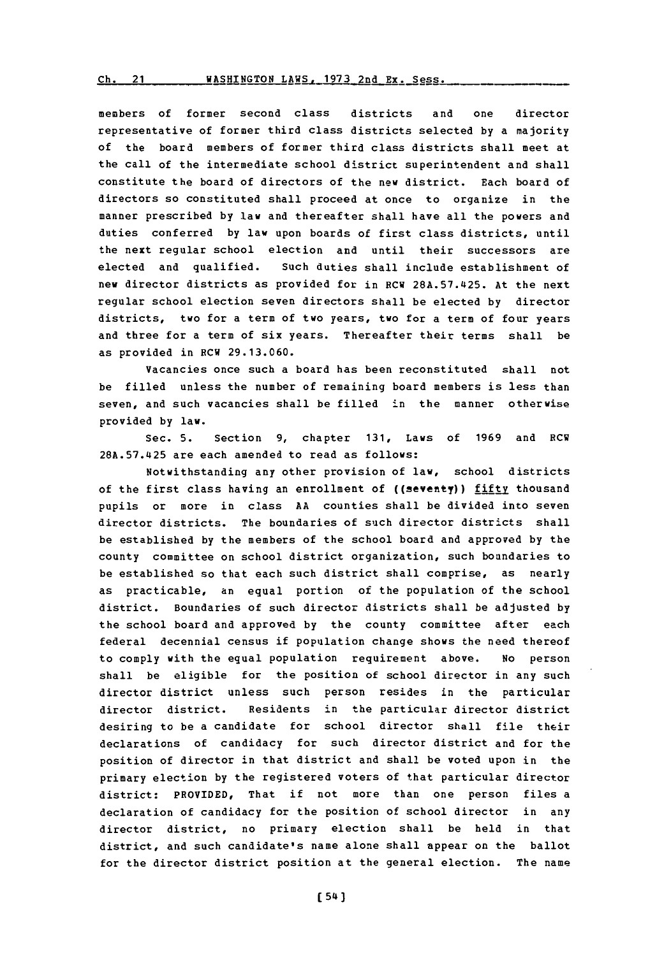#### Ch. 21 WASHINGTON LAWS, 1973 2nd Ex. Sess.

members of former second class districts and one director representative of former third class districts selected **by** a majority of the board members of former third class districts shall meet at the call of the intermediate school district superintendent and shall constitute the board of directors of the new district. Each board of directors so constituted shall proceed at once to organize in the manner prescribed **by** law and thereafter shall have all the powers and duties conferred **by** law upon boards of first class districts, until the next regular school election and until their successors are elected and qualified. Such duties shall include establishment of new director districts as provided for in RCW **28A.57.425.** At the next regular school election seven directors shall be elected **by** director districts, two for a term of two years, two for a term of four years and three for a term of six years. Thereafter their terms shall be as provided in RCW **29.13.060.**

Vacancies once such a board has been reconstituted shall not be filled unless the number of remaining board members is less than seven, and such vacancies shall be filled in the manner otherwise provided **by** law.

Sec. **5.** Section **9,** chapter **131,** Laws of **1969** and RCW **28A.57.425** are each amended to read as follows:

Notwithstanding any other provision of law, school districts of the first class having an enrollment of ((seventy)) fifty thousand pupils or more in class **AA** counties shall be divided into seven director districts. The boundaries of such director districts shall be established **by** the members of the school board and approved **by** the county committee on school district organization, such boundaries to be established so that each such district shall comprise, as nearly as practicable, an equal portion of the population of the school district. Boundaries of such director districts shall be adjusted **by** the school board and approved **by** the county committee after each federal decennial census if population change shows the need thereof to comply with the equal population requirement above. No person shall be eligible for the position of school director in any such director district unless such person resides in the particular director district. Residents in the particular director district desiring to be a candidate for school director shall file their declarations of candidacy for such director district and for the position of director in that district and shall be voted upon in the primary election **by** the registered voters of that particular director district: PROVIDED, That if not more than one person files a declaration of candidacy for the position of school director in any director district, no primary election shall be held in that district, and such candidate's name alone shall appear on the ballot for the director district position at the general election. The name

 $[54]$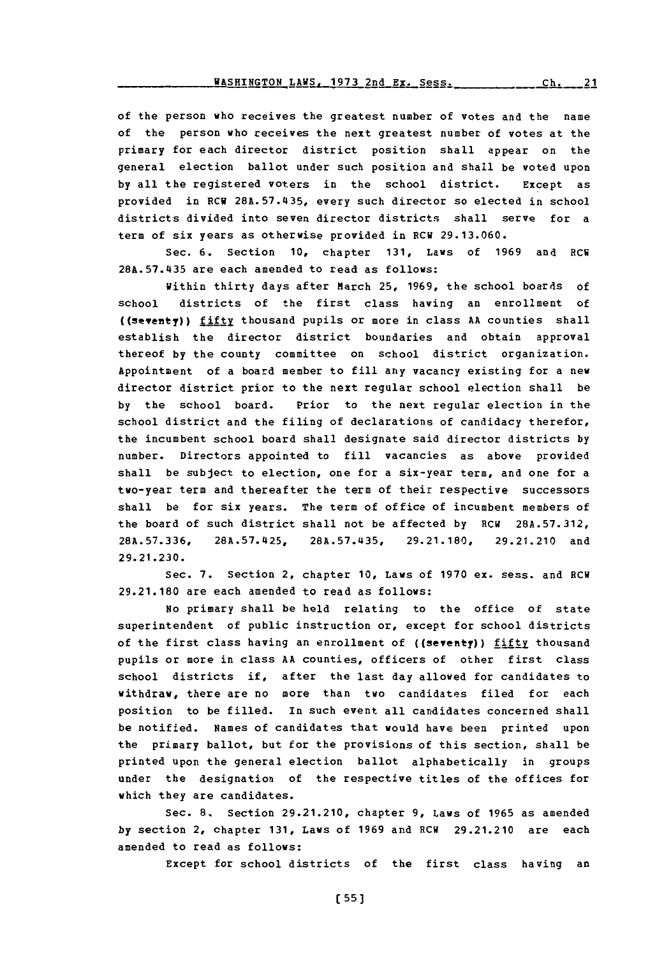of the person who receives the greatest number of votes and the name<br>of the person who receives the next greatest number of votes at the officer the person who received the hext greatest humber of votes at the ilmary for each director district position shall appear on the general election ballot under such position and shall be voted upon<br>by all the registered voters in the school district. Except as by all the registered voters in the school district. Except as<br>provided in RCW 28A.57.435, every such director so elected in school provided in sew reals, s 9.5.3every such director so elected in sent districts divided into seven director districts shall serve for<br>0.000aproximation in the correspondence of the correspondence of the correspondence of the correspondence of t term of six years as otherwise provided in RCW 29.13.060.

Sec. 6. Section 10, chapter 131, Laws of 1969 and RCW 28A.57.435 are each amended to read as follows:

within thirty days after March 25, 1969, the school boards of<br>school districts of the first class having an enrollment of (shooly) ditcthofsn theil firstri class ain anoenrollent ofal (seventy)) <u>fift</u>y thousand pupils or more in class aa counties shall establish the director district boundaries and obtain approval thereof by the county committee on school district organization. Appointment of a board member to fill any vacancy existing for a new director district prior to the next regular school election shall be<br>by the school board. Prior to the next regular election in the by school board. Prior to the flext regular election in school district and the filling of declarations of candidacy therefor, the incumbent school board shall designate said director districts by number. Directors appointed to fill vacancies as above provided shall be subject to election, one for a six-year term, and one for a two-year term and thereafter the term of their respective successors shall be for six years. The term of office of incumbent members of the board of such district shall not be affected by RCW 28A.57.312,<br>28A.57.336, 28A.57.425, 28A.57.435, 29.21.180, 29.21.210 and 28.736 8.7L2,2A5.45 **92.8,29.21.210an** 29.21 .230in.,cate **<sup>0</sup>**aw f170e.sss n

Sec. 7. Section 2, chapter 10, Laws of 1970 ex. sess. and RC<sup>.</sup><br>... 2000 are each amended to read as follows:

sprimary shall be neld relating to the office of state superintendent of public instruction or, except for school districts of the first class having an enrollment of ((seventy)) fifty thousand pupils or more in class AA counties, officers of other first class<br>school districts if, after the last day allowed for candidates to school districts if, after the last day affored for candidates to withdraw, there are no more than two candidates filed for each  $\sim$ psttom to be filled. In such event all candidates concerned shall be notified. Names of candidates that would have been printed upon<br>. the primary ballot, but for the provisions of this section, shall be printed upon the general election ballot alphabetically in groups under the designation of the respective titles of the offices for<br>which they are candidates. h they are candidates.<br>2.1,catron extensions are seen as a second contractor of the same contractors are seen as a second contractors

Sec. 6. Section 29.2.1210, chapter 9, *Laws of 1965 as allegated* amended to read as follows:

Except for school districts of the first class having an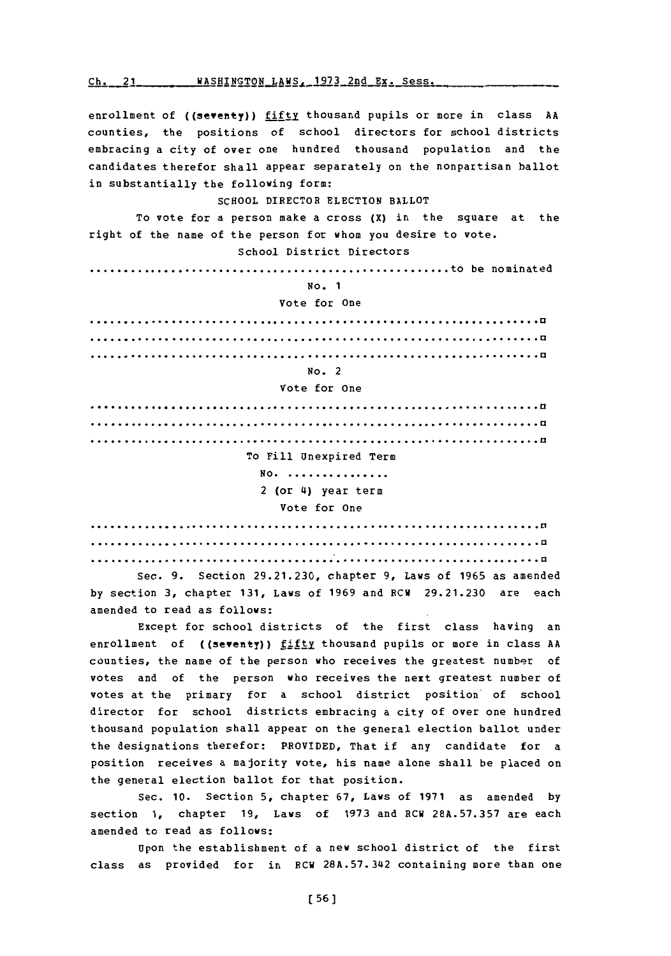**Ch.** 21 WASHINGTON LAWS. **1973** 2nd Ex. Sess

enrollment of **((seventy))** fifty thousand pupils or more in class **AA** counties, the positions of school directors for school districts embracing a city of over one hundred thousand population and the candidates therefor shall appear separately on the nonpartisan ballot in substantially the following form:

## **SCHOOL** DIRECTOR **ELECTION** BALLOT

To vote for a person make a cross (X) in the square at the right of the name of the person for whom you desire to vote. School District Directors

**.............................................to** be nominated

### **No. 1**

#### Vote for One

# No. 2

## Vote for One

**.... ...........................................................a .... ...........................................................a .... ...........................................................a** To Fill Unexpired Term **No. ...............** 2 (or **4)** year term Vote for One

**... ............................................................ a ... ............................................................ a ... ............................................................ a**

Sec. **9.** Section **29.21.230,** chapter **9,** Laws of **1965** as amended **by** section **3,** chapter **131,** Laws of **1969** and RCW **29.21.230** are each amended to read as follows:

Except for school districts of the first class having an enrollment of ((seventy)) fifty thousand pupils or more in class **AA** counties, the name of the person who receives the greatest number of votes and of the person who receives the next greatest number of votes at the primary for a school district position of school director for school districts embracing a city of over one hundred thousand population shall appear on the general election ballot under the designations therefor: PROVIDED, That if any candidate for a position receives a majority vote, his name alone shall be placed on the general election ballot for that position.

Sec. **10.** Section **5,** chapter **67,** Laws of **1971** as amended **by** section **1,** chapter **19,** Laws of **1973** and RCW **28A.57.357** are each amended to read as follows:

Upon the establishment of a new school district of the first class as provided for in RCW **28A.57.342** containing more than one